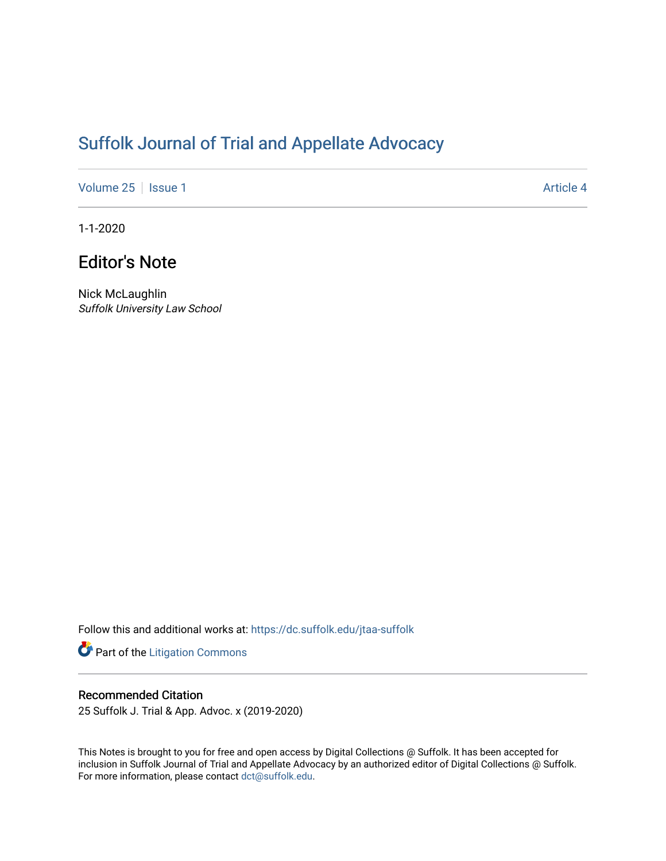# [Suffolk Journal of Trial and Appellate Advocacy](https://dc.suffolk.edu/jtaa-suffolk)

[Volume 25](https://dc.suffolk.edu/jtaa-suffolk/vol25) | [Issue 1](https://dc.suffolk.edu/jtaa-suffolk/vol25/iss1) Article 4

1-1-2020

# Editor's Note

Nick McLaughlin Suffolk University Law School

Follow this and additional works at: [https://dc.suffolk.edu/jtaa-suffolk](https://dc.suffolk.edu/jtaa-suffolk?utm_source=dc.suffolk.edu%2Fjtaa-suffolk%2Fvol25%2Fiss1%2F4&utm_medium=PDF&utm_campaign=PDFCoverPages) 

Part of the [Litigation Commons](https://network.bepress.com/hgg/discipline/910?utm_source=dc.suffolk.edu%2Fjtaa-suffolk%2Fvol25%2Fiss1%2F4&utm_medium=PDF&utm_campaign=PDFCoverPages)

## Recommended Citation

25 Suffolk J. Trial & App. Advoc. x (2019-2020)

This Notes is brought to you for free and open access by Digital Collections @ Suffolk. It has been accepted for inclusion in Suffolk Journal of Trial and Appellate Advocacy by an authorized editor of Digital Collections @ Suffolk. For more information, please contact [dct@suffolk.edu](mailto:dct@suffolk.edu).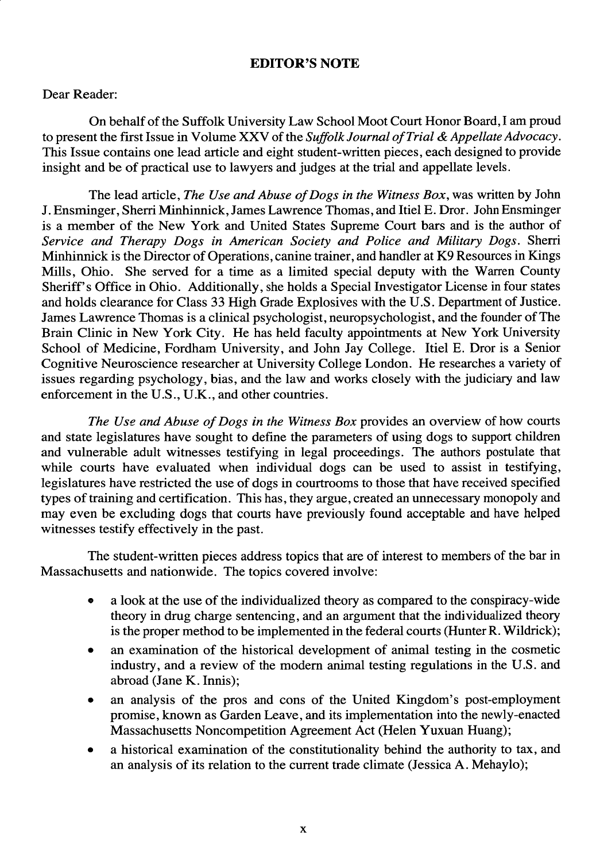### **EDITOR'S NOTE**

#### Dear Reader:

On behalf of the Suffolk University Law School Moot Court Honor Board, I am proud to present the first Issue in Volume XXV of the *Suffolk Journal of Trial & Appellate Advocacy.* This Issue contains one lead article and eight student-written pieces, each designed to provide insight and be of practical use to lawyers and judges at the trial and appellate levels.

The lead article, *The Use and Abuse of Dogs in the Witness Box,* was written by John J. Ensminger, Sherri Minhinnick, James Lawrence Thomas, and Itiel **E.** Dror. John Ensminger is a member of the New York and United States Supreme Court bars and is the author of *Service and Therapy Dogs in American Society and Police and Military Dogs.* Sherri Minhinnick is the Director of Operations, canine trainer, and handler at K9 Resources in Kings Mills, Ohio. She served for a time as a limited special deputy with the Warren County Sheriff's Office in Ohio. Additionally, she holds a Special Investigator License in four states and holds clearance for Class 33 High Grade Explosives with the U.S. Department of Justice. James Lawrence Thomas is a clinical psychologist, neuropsychologist, and the founder of The Brain Clinic in New York City. He has held faculty appointments at New York University School of Medicine, Fordham University, and John Jay College. Itiel E. Dror is a Senior Cognitive Neuroscience researcher at University College London. He researches a variety of issues regarding psychology, bias, and the law and works closely with the judiciary and law enforcement in the U.S., U.K., and other countries.

*The Use and Abuse of Dogs in the Witness Box* provides an overview of how courts and state legislatures have sought to define the parameters of using dogs to support children and vulnerable adult witnesses testifying in legal proceedings. The authors postulate that while courts have evaluated when individual dogs can be used to assist in testifying, legislatures have restricted the use of dogs in courtrooms to those that have received specified types of training and certification. This has, they argue, created an unnecessary monopoly and may even be excluding dogs that courts have previously found acceptable and have helped witnesses testify effectively in the past.

The student-written pieces address topics that are of interest to members of the bar in Massachusetts and nationwide. The topics covered involve:

- a look at the use of the individualized theory as compared to the conspiracy-wide theory in drug charge sentencing, and an argument that the individualized theory is the proper method to be implemented in the federal courts (Hunter R. Wildrick);
- an examination of the historical development of animal testing in the cosmetic industry, and a review of the modem animal testing regulations in the U.S. and abroad (Jane K. Innis);
- an analysis of the pros and cons of the United Kingdom's post-employment promise, known as Garden Leave, and its implementation into the newly-enacted Massachusetts Noncompetition Agreement Act (Helen Yuxuan Huang);
- a historical examination of the constitutionality behind the authority to tax, and an analysis of its relation to the current trade climate (Jessica A. Mehaylo);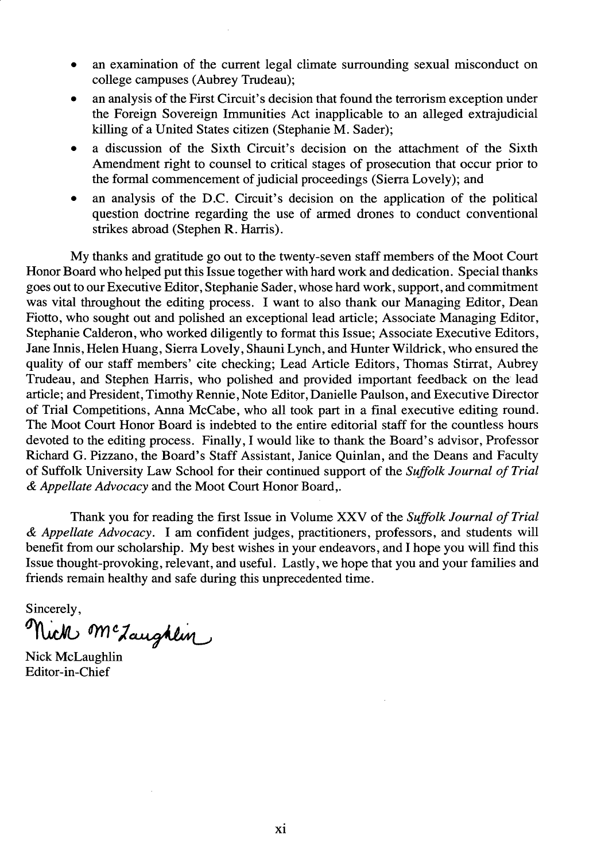- an examination of the current legal climate surrounding sexual misconduct on college campuses (Aubrey Trudeau);
- **"** an analysis of the First Circuit's decision that found the terrorism exception under the Foreign Sovereign Immunities Act inapplicable to an alleged extrajudicial killing of a United States citizen (Stephanie M. Sader);
- a discussion of the Sixth Circuit's decision on the attachment of the Sixth Amendment right to counsel to critical stages of prosecution that occur prior to the formal commencement of judicial proceedings (Sierra Lovely); and
- an analysis of the D.C. Circuit's decision on the application of the political question doctrine regarding the use of armed drones to conduct conventional strikes abroad (Stephen R. Harris).

My thanks and gratitude go out to the twenty-seven staff members of the Moot Court Honor Board who helped put this Issue together with hard work and dedication. Special thanks goes out to our Executive Editor, Stephanie Sader, whose hard work, support, and commitment was vital throughout the editing process. I want to also thank our Managing Editor, Dean Fiotto, who sought out and polished an exceptional lead article; Associate Managing Editor, Stephanie Calderon, who worked diligently to format this Issue; Associate Executive Editors, Jane Innis, Helen Huang, Sierra Lovely, Shauni Lynch, and Hunter Wildrick, who ensured the quality of our staff members' cite checking; Lead Article Editors, Thomas Stirrat, Aubrey Trudeau, and Stephen Harris, who polished and provided important feedback on the lead article; and President, Timothy Rennie, Note Editor, Danielle Paulson, and Executive Director of Trial Competitions, Anna McCabe, who all took part in a final executive editing round. The Moot Court Honor Board is indebted to the entire editorial staff for the countless hours devoted to the editing process. Finally, I would like to thank the Board's advisor, Professor Richard G. Pizzano, the Board's Staff Assistant, Janice Quinlan, and the Deans and Faculty of Suffolk University Law School for their continued support of the *Suffolk Journal of Trial & Appellate Advocacy* and the Moot Court Honor Board,.

Thank you for reading the first Issue in Volume XXV of the *Suffolk Journal of Trial & Appellate Advocacy.* I am confident judges, practitioners, professors, and students will benefit from our scholarship. My best wishes in your endeavors, and I hope you will find this Issue thought-provoking, relevant, and useful. Lastly, we hope that you and your families and friends remain healthy and safe during this unprecedented time.

Sincerely, Nick Mc Laughlin

Nick McLaughlin Editor-in-Chief